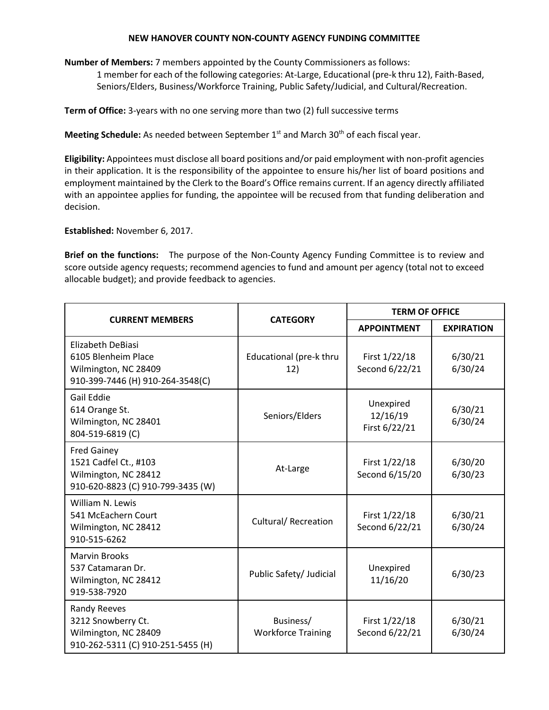## **NEW HANOVER COUNTY NON-COUNTY AGENCY FUNDING COMMITTEE**

**Number of Members:** 7 members appointed by the County Commissioners as follows:

1 member for each of the following categories: At-Large, Educational (pre-k thru 12), Faith-Based, Seniors/Elders, Business/Workforce Training, Public Safety/Judicial, and Cultural/Recreation.

**Term of Office:** 3-years with no one serving more than two (2) full successive terms

Meeting Schedule: As needed between September 1<sup>st</sup> and March 30<sup>th</sup> of each fiscal year.

**Eligibility:** Appointees must disclose all board positions and/or paid employment with non-profit agencies in their application. It is the responsibility of the appointee to ensure his/her list of board positions and employment maintained by the Clerk to the Board's Office remains current. If an agency directly affiliated with an appointee applies for funding, the appointee will be recused from that funding deliberation and decision.

**Established:** November 6, 2017.

**Brief on the functions:** The purpose of the Non-County Agency Funding Committee is to review and score outside agency requests; recommend agencies to fund and amount per agency (total not to exceed allocable budget); and provide feedback to agencies.

|                                                                                                          |                                        | <b>TERM OF OFFICE</b>                                      |                    |
|----------------------------------------------------------------------------------------------------------|----------------------------------------|------------------------------------------------------------|--------------------|
| <b>CURRENT MEMBERS</b>                                                                                   |                                        | <b>CATEGORY</b><br><b>APPOINTMENT</b><br><b>EXPIRATION</b> |                    |
| Elizabeth DeBiasi<br>6105 Blenheim Place<br>Wilmington, NC 28409<br>910-399-7446 (H) 910-264-3548(C)     | Educational (pre-k thru<br>12)         | First 1/22/18<br>Second 6/22/21                            | 6/30/21<br>6/30/24 |
| Gail Eddie<br>614 Orange St.<br>Wilmington, NC 28401<br>804-519-6819 (C)                                 | Seniors/Elders                         | Unexpired<br>12/16/19<br>First 6/22/21                     | 6/30/21<br>6/30/24 |
| <b>Fred Gainey</b><br>1521 Cadfel Ct., #103<br>Wilmington, NC 28412<br>910-620-8823 (C) 910-799-3435 (W) | At-Large                               | First 1/22/18<br>Second 6/15/20                            | 6/30/20<br>6/30/23 |
| William N. Lewis<br>541 McEachern Court<br>Wilmington, NC 28412<br>910-515-6262                          | Cultural/ Recreation                   | First 1/22/18<br>Second 6/22/21                            | 6/30/21<br>6/30/24 |
| <b>Marvin Brooks</b><br>537 Catamaran Dr.<br>Wilmington, NC 28412<br>919-538-7920                        | Public Safety/ Judicial                | Unexpired<br>11/16/20                                      | 6/30/23            |
| <b>Randy Reeves</b><br>3212 Snowberry Ct.<br>Wilmington, NC 28409<br>910-262-5311 (C) 910-251-5455 (H)   | Business/<br><b>Workforce Training</b> | First 1/22/18<br>Second 6/22/21                            | 6/30/21<br>6/30/24 |